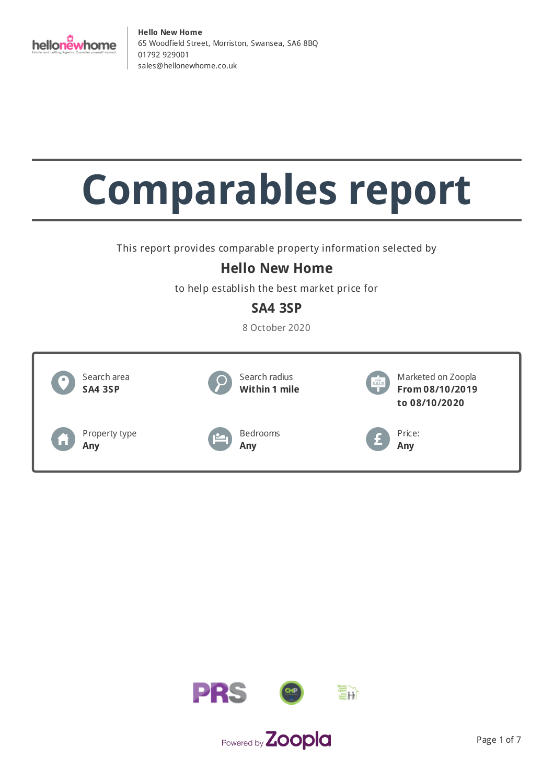

# **Comparables report**

This report provides comparable property information selected by

## **Hello New Home**

to help establish the best market price for

## **SA4 3SP**

8 October 2020



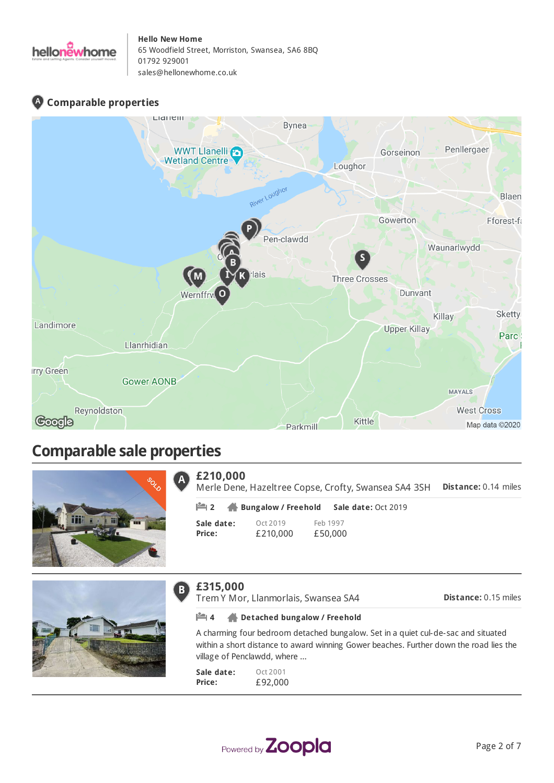

## **Comparable properties**



# **Comparable sale properties**



#### **£210,000** A

**Distance:** 0.14 miles Merle Dene, Hazeltree Copse, Crofty, Swansea SA4 3SH

**Sale date: Price:** Oct 2019 £210,000 Feb 1997 £50,000 **2 Bungalow / Freehold Sale date:** Oct 2019



#### **£315,000**  $\overline{B}$

Trem Y Mor, Llanmorlais, Swansea SA4

**Distance:** 0.15 miles

#### **4 Detached bungalow / Freehold**

A charming four bedroom detached bungalow. Set in a quiet cul-de-sac and situated within a short distance to award winning Gower beaches. Further down the road lies the village of Penclawdd, where ...

**Sale date: Price:** Oct 2001 £92,000

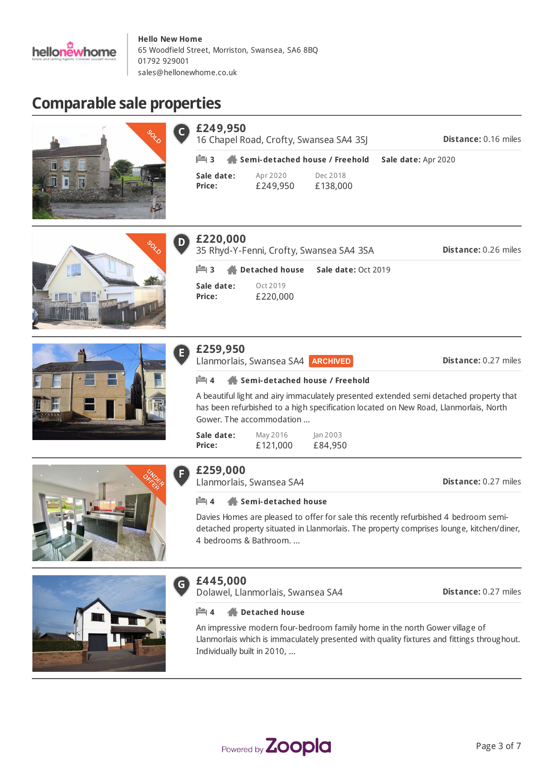

# **Comparable sale properties**

r



| £249,950                       | 16 Chapel Road, Crofty, Swansea SA4 3SJ | <b>Distance: 0.16 miles</b> |  |
|--------------------------------|-----------------------------------------|-----------------------------|--|
| Semi-detached house / Freehold |                                         | Sale date: Apr 2020         |  |
| Sale date:<br><b>Price:</b>    | Apr 2020<br>£249,950                    | Dec 2018<br>£138,000        |  |





| $\bullet$ | £259,950                         |
|-----------|----------------------------------|
|           | $\mathbf{H}$ 4<br>$\blacksquare$ |
|           | A beautiful lig<br>has been ref  |

#### **£220,000**  $\overline{D}$

**Sale date: Price:** Oct 2019 £220,000 **Distance:** 0.26 miles 35 Rhyd-Y-Fenni, Crofty, Swansea SA4 3SA **3 Detached house Sale date:** Oct 2019

## **Distance:** 0.27 miles **£259,950** s, Swansea SA4 ARCHIVED **4 Semi-detached house / Freehold** ght and airy immaculately presented extended semi detached property that efurbished to a high specification located on New Road, Llanmorlais, North Gower. The accommodation ...

**Sale date: Price:** May 2016 £121,000 Jan 2003 £84,950



## **£259,000**

Llanmorlais, Swansea SA4

**Distance:** 0.27 miles

#### **4 Semi-detached house**

Davies Homes are pleased to offer for sale this recently refurbished 4 bedroom semidetached property situated in Llanmorlais. The property comprises lounge, kitchen/diner, 4 bedrooms & Bathroom. ...



#### **£445,000**  $\mathsf{G}$

Dolawel, Llanmorlais, Swansea SA4

**Distance:** 0.27 miles

#### **4 Detached house**

An impressive modern four-bedroom family home in the north Gower village of Llanmorlais which is immaculately presented with quality fixtures and fittings throughout. Individually built in 2010, ...

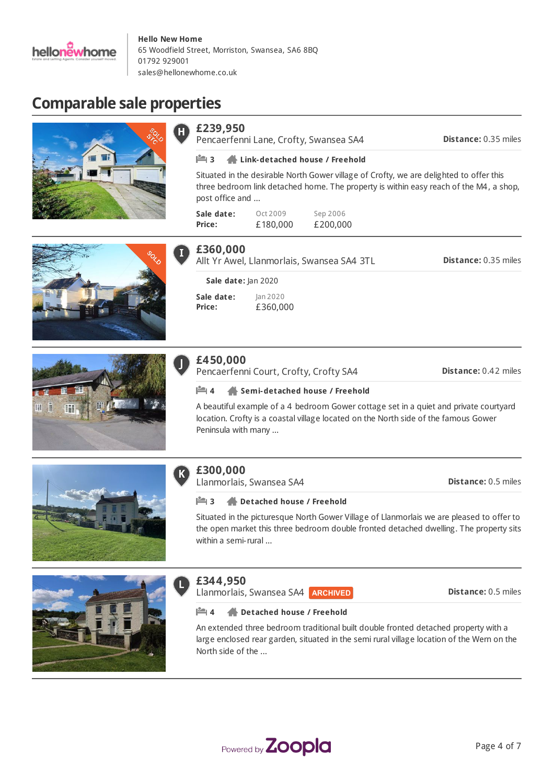

# **Comparable sale properties**

|        | £239,950<br>Pencaerfenni Lane, Crofty, Swansea SA4                                                                                                                                                         | Distance: 0.35 miles        |
|--------|------------------------------------------------------------------------------------------------------------------------------------------------------------------------------------------------------------|-----------------------------|
|        | <b>LA</b> 3<br>Link-detached house / Freehold                                                                                                                                                              |                             |
|        | Situated in the desirable North Gower village of Crofty, we are delighted to offer this<br>three bedroom link detached home. The property is within easy reach of the M4, a shop,<br>post office and       |                             |
|        | Sep 2006<br>Sale date:<br>Oct 2009<br>£180,000<br>£200,000<br>Price:                                                                                                                                       |                             |
|        | £360,000<br>Allt Yr Awel, Llanmorlais, Swansea SA4 3TL                                                                                                                                                     | <b>Distance: 0.35 miles</b> |
|        | Sale date: Jan 2020                                                                                                                                                                                        |                             |
|        | Sale date:<br>Jan 2020<br>Price:<br>£360,000                                                                                                                                                               |                             |
|        | £450,000<br>Pencaerfenni Court, Crofty, Crofty SA4                                                                                                                                                         | Distance: 0.42 miles        |
|        | Semi-detached house / Freehold<br>⊫ 4                                                                                                                                                                      |                             |
| Ш<br>4 | A beautiful example of a 4 bedroom Gower cottage set in a quiet and private courtyard<br>location. Crofty is a coastal village located on the North side of the famous Gower<br>Peninsula with many        |                             |
|        | £300,000<br>Llanmorlais, Swansea SA4                                                                                                                                                                       | Distance: 0.5 miles         |
|        | ⊫13<br>Detached house / Freehold                                                                                                                                                                           |                             |
|        | Situated in the picturesque North Gower Village of Llanmorlais we are pleased to offer to<br>the open market this three bedroom double fronted detached dwelling. The property sits<br>within a semi-rural |                             |



### **£344,950**

L

Llanmorlais, Swansea SA4 **ARCHIVED** 

**Distance:** 0.5 miles

#### **4 Detached house / Freehold**

An extended three bedroom traditional built double fronted detached property with a large enclosed rear garden, situated in the semi rural village location of the Wern on the North side of the ...

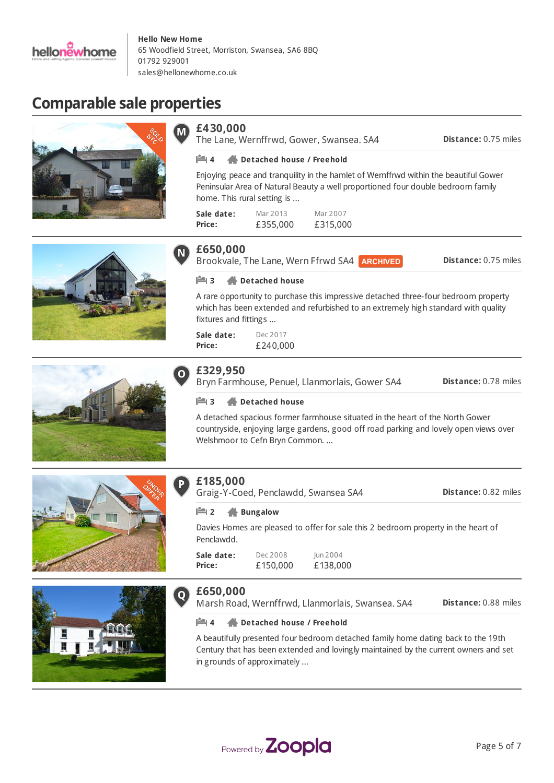

# **Comparable sale properties**







The Lane, Wernffrwd, Gower, Swansea. SA4

**Distance:** 0.75 miles

#### **4 Detached house / Freehold**

Enjoying peace and tranquility in the hamlet of Wernffrwd within the beautiful Gower Peninsular Area of Natural Beauty a well proportioned four double bedroom family home. This rural setting is ...

| Sale date: | Mar 2013 | Mar 2007 |
|------------|----------|----------|
| Price:     | £355,000 | £315,000 |





## **£650,000**

Brookvale, The Lane, Wern Ffrwd SA4 **ARCHIVED** 

**Distance:** 0.75 miles

#### **3 Detached house**

A rare opportunity to purchase this impressive detached three-four bedroom property which has been extended and refurbished to an extremely high standard with quality fixtures and fittings ...

**Sale date: Price:** Dec 2017 £240,000

## **£329,950**

Bryn Farmhouse, Penuel, Llanmorlais, Gower SA4

**Distance:** 0.78 miles

#### **3 Detached house**

A detached spacious former farmhouse situated in the heart of the North Gower countryside, enjoying large gardens, good off road parking and lovely open views over Welshmoor to Cefn Bryn Common. ...





## **£185,000**

**£650,000**

Graig-Y-Coed, Penclawdd, Swansea SA4

**2 Bungalow**

Davies Homes are pleased to offer for sale this 2 bedroom property in the heart of Penclawdd.

**Sale date: Price:** Dec 2008 £150,000 Jun 2004

£138,000

Marsh Road, Wernffrwd, Llanmorlais, Swansea. SA4

**Distance:** 0.88 miles

**Distance:** 0.82 miles

#### **4 Detached house / Freehold**

A beautifully presented four bedroom detached family home dating back to the 19th Century that has been extended and lovingly maintained by the current owners and set in grounds of approximately ...

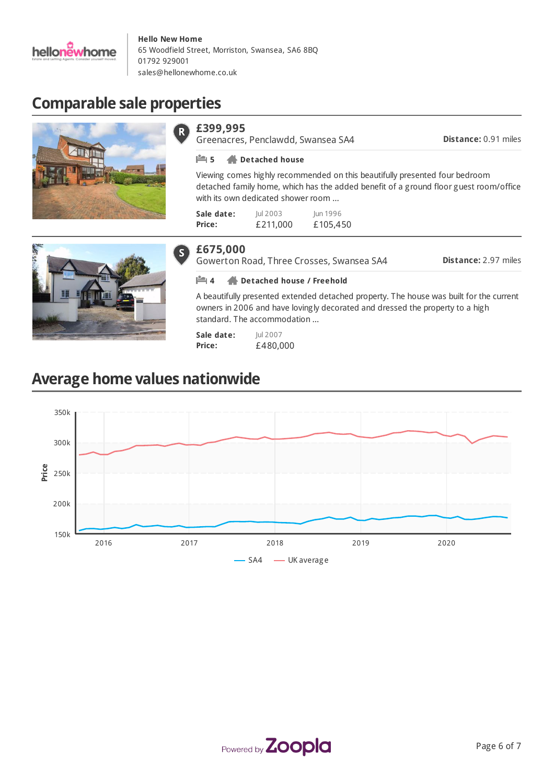

# **Comparable sale properties**





Greenacres, Penclawdd, Swansea SA4

**Distance:** 0.91 miles

#### **5 Detached house**

Viewing comes highly recommended on this beautifully presented four bedroom detached family home, which has the added benefit of a ground floor guest room/office with its own dedicated shower room ...

| Sale date: | lul 2003 | lun 1996 |
|------------|----------|----------|
| Price:     | £211,000 | £105,450 |



#### **£675,000**  $\vert S \vert$

Gowerton Road, Three Crosses, Swansea SA4

**Distance:** 2.97 miles

#### **4 Detached house / Freehold**

A beautifully presented extended detached property. The house was built for the current owners in 2006 and have lovingly decorated and dressed the property to a high standard. The accommodation ...

**Sale date: Price:** Jul 2007 £480,000

# **Average home values nationwide**